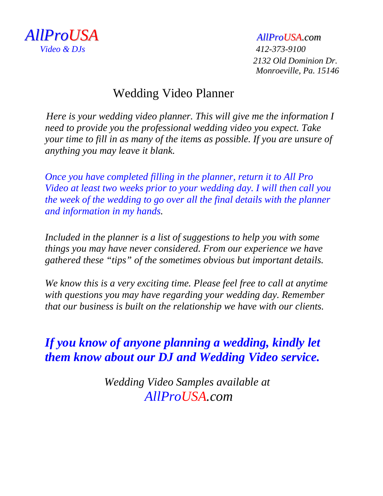

 *2132 Old Dominion Dr. Monroeville, Pa. 15146*

### Wedding Video Planner

 *Here is your wedding video planner. This will give me the information I need to provide you the professional wedding video you expect. Take your time to fill in as many of the items as possible. If you are unsure of anything you may leave it blank.*

*Once you have completed filling in the planner, return it to All Pro Video at least two weeks prior to your wedding day. I will then call you the week of the wedding to go over all the final details with the planner and information in my hands.* 

*Included in the planner is a list of suggestions to help you with some things you may have never considered. From our experience we have gathered these "tips" of the sometimes obvious but important details.*

*We know this is a very exciting time. Please feel free to call at anytime with questions you may have regarding your wedding day. Remember that our business is built on the relationship we have with our clients.* 

### *If you know of anyone planning a wedding, kindly let them know about our DJ and Wedding Video service.*

*Wedding Video Samples available at AllProUSA.com*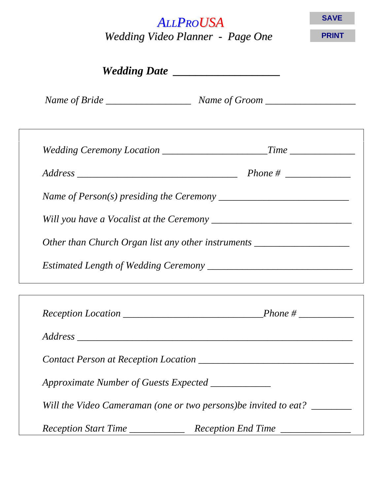| <b>ALLPROUSA</b><br>Wedding Video Planner - Page One                                                  |  | <b>SAVE</b>  |  |  |
|-------------------------------------------------------------------------------------------------------|--|--------------|--|--|
|                                                                                                       |  | <b>PRINT</b> |  |  |
|                                                                                                       |  |              |  |  |
|                                                                                                       |  |              |  |  |
|                                                                                                       |  |              |  |  |
|                                                                                                       |  |              |  |  |
|                                                                                                       |  |              |  |  |
|                                                                                                       |  |              |  |  |
| Name of Person(s) presiding the Ceremony $\frac{1}{\sqrt{1-\frac{1}{n}}}\left\{ \frac{1}{n} \right\}$ |  |              |  |  |
|                                                                                                       |  |              |  |  |
| Other than Church Organ list any other instruments ______________________________                     |  |              |  |  |
|                                                                                                       |  |              |  |  |

| Approximate Number of Guests Expected ____________ |                                                                  |
|----------------------------------------------------|------------------------------------------------------------------|
|                                                    | Will the Video Cameraman (one or two persons) be invited to eat? |
| Reception Start Time                               | Reception End Time                                               |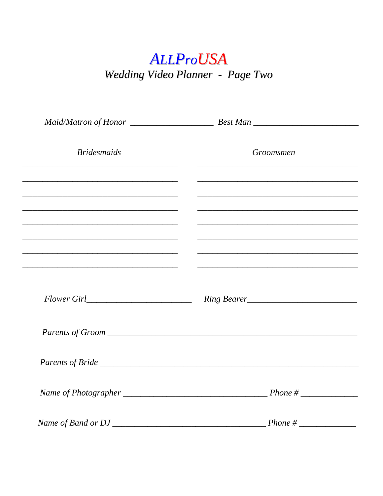# **ALLProUSA** Wedding Video Planner - Page Two

| <b>Bridesmaids</b>                                                                                                    | Groomsmen                                                                                                                                                                                    |
|-----------------------------------------------------------------------------------------------------------------------|----------------------------------------------------------------------------------------------------------------------------------------------------------------------------------------------|
|                                                                                                                       |                                                                                                                                                                                              |
| <u> 1990 - Johann Harry Harry Harry Harry Harry Harry Harry Harry Harry Harry Harry Harry Harry Harry Harry Harry</u> | <u> 1999 - Johann Harry Harry Harry Harry Harry Harry Harry Harry Harry Harry Harry Harry Harry Harry Harry Harry</u><br><u> 1999 - Johann John Harry, mars and deutscher Stadt (* 1950)</u> |
| <u> 2000 - Jan James James James James James James James James James James James James James James James James J</u>  | <u> 1980 - Johann John Harry, mars ar yn y brenin y brenin y brenin y brenin y brenin y brenin y brenin y brenin</u>                                                                         |
|                                                                                                                       | <u> 2000 - Jan James James James James James James James James James James James James James James James James J</u>                                                                         |
|                                                                                                                       |                                                                                                                                                                                              |
|                                                                                                                       |                                                                                                                                                                                              |
|                                                                                                                       |                                                                                                                                                                                              |
|                                                                                                                       |                                                                                                                                                                                              |
|                                                                                                                       |                                                                                                                                                                                              |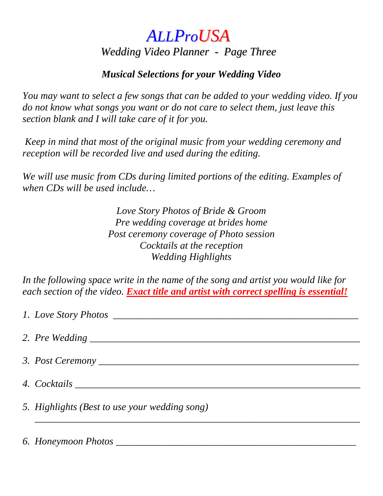## *ALLProUSA Wedding Video Planner - Page Three*

#### *Musical Selections for your Wedding Video*

*You may want to select a few songs that can be added to your wedding video. If you do not know what songs you want or do not care to select them, just leave this section blank and I will take care of it for you.*

*Keep in mind that most of the original music from your wedding ceremony and reception will be recorded live and used during the editing.*

*We will use music from CDs during limited portions of the editing. Examples of when CDs will be used include…*

> *Love Story Photos of Bride & Groom Pre wedding coverage at brides home Post ceremony coverage of Photo session Cocktails at the reception Wedding Highlights*

*In the following space write in the name of the song and artist you would like for each section of the video. Exact title and artist with correct spelling is essential!* 

| 5. Highlights (Best to use your wedding song) |
|-----------------------------------------------|
|                                               |

*6. Honeymoon Photos \_\_\_\_\_\_\_\_\_\_\_\_\_\_\_\_\_\_\_\_\_\_\_\_\_\_\_\_\_\_\_\_\_\_\_\_\_\_\_\_\_\_\_\_\_\_\_\_*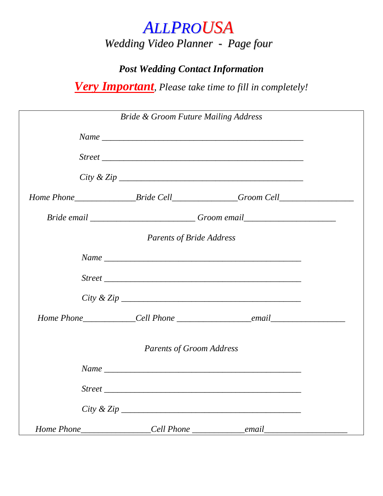# *ALLPROUSA*

*Wedding Video Planner - Page four*

### *Post Wedding Contact Information*

*Very Important, Please take time to fill in completely!*

| <b>Bride &amp; Groom Future Mailing Address</b> |                                                                                   |  |
|-------------------------------------------------|-----------------------------------------------------------------------------------|--|
|                                                 |                                                                                   |  |
|                                                 |                                                                                   |  |
|                                                 |                                                                                   |  |
|                                                 | Home Phone___________________Bride Cell________________Groom Cell________________ |  |
|                                                 | Bride email ____________________________Groom email_____________________________  |  |
| <b>Parents of Bride Address</b>                 |                                                                                   |  |
|                                                 | $Name \_$                                                                         |  |
|                                                 |                                                                                   |  |
|                                                 |                                                                                   |  |
|                                                 |                                                                                   |  |
| <b>Parents of Groom Address</b>                 |                                                                                   |  |
|                                                 |                                                                                   |  |
|                                                 |                                                                                   |  |
|                                                 |                                                                                   |  |
|                                                 |                                                                                   |  |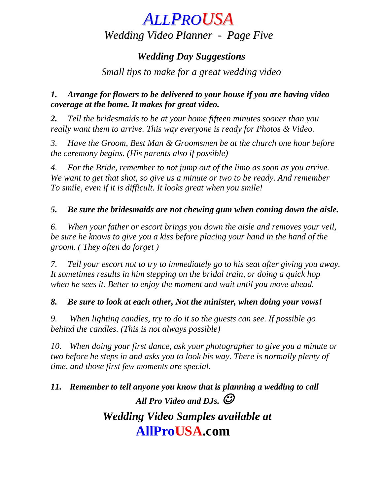## *ALLPROUSA Wedding Video Planner - Page Five*

#### *Wedding Day Suggestions*

#### *Small tips to make for a great wedding video*

#### *1. Arrange for flowers to be delivered to your house if you are having video coverage at the home. It makes for great video.*

*2. Tell the bridesmaids to be at your home fifteen minutes sooner than you really want them to arrive. This way everyone is ready for Photos & Video.* 

*3. Have the Groom, Best Man & Groomsmen be at the church one hour before the ceremony begins. (His parents also if possible)*

*4. For the Bride, remember to not jump out of the limo as soon as you arrive. We want to get that shot, so give us a minute or two to be ready. And remember To smile, even if it is difficult. It looks great when you smile!*

#### *5. Be sure the bridesmaids are not chewing gum when coming down the aisle.*

*6. When your father or escort brings you down the aisle and removes your veil, be sure he knows to give you a kiss before placing your hand in the hand of the groom. ( They often do forget )*

*7. Tell your escort not to try to immediately go to his seat after giving you away. It sometimes results in him stepping on the bridal train, or doing a quick hop when he sees it. Better to enjoy the moment and wait until you move ahead.*

#### *8. Be sure to look at each other, Not the minister, when doing your vows!*

*9. When lighting candles, try to do it so the guests can see. If possible go behind the candles. (This is not always possible)*

*10. When doing your first dance, ask your photographer to give you a minute or two before he steps in and asks you to look his way. There is normally plenty of time, and those first few moments are special.*

*11. Remember to tell anyone you know that is planning a wedding to call All Pro Video and DJs. Wedding Video Samples available at*

## **AllProUSA.com**